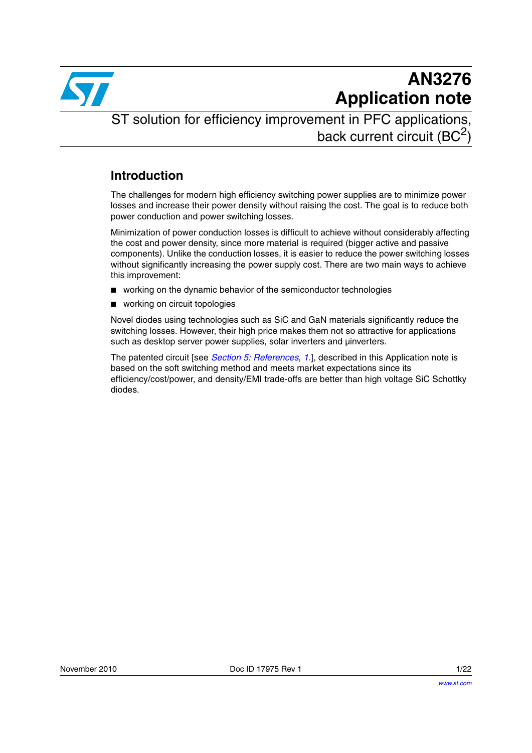

# **AN3276 Application note**

ST solution for efficiency improvement in PFC applications, back current circuit  $(BC<sup>2</sup>)$ 

### **Introduction**

The challenges for modern high efficiency switching power supplies are to minimize power losses and increase their power density without raising the cost. The goal is to reduce both power conduction and power switching losses.

Minimization of power conduction losses is difficult to achieve without considerably affecting the cost and power density, since more material is required (bigger active and passive components). Unlike the conduction losses, it is easier to reduce the power switching losses without significantly increasing the power supply cost. There are two main ways to achieve this improvement:

- working on the dynamic behavior of the semiconductor technologies
- working on circuit topologies

Novel diodes using technologies such as SiC and GaN materials significantly reduce the switching losses. However, their high price makes them not so attractive for applications such as desktop server power supplies, solar inverters and µinverters.

The patented circuit [see *[Section 5: References](#page-19-1)*, *[1.](#page-19-0)*], described in this Application note is based on the soft switching method and meets market expectations since its efficiency/cost/power, and density/EMI trade-offs are better than high voltage SiC Schottky diodes.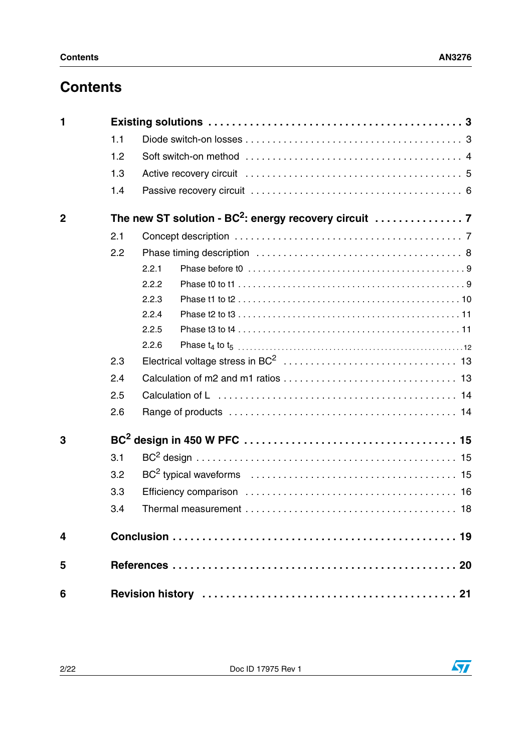## **Contents**

| 1                       |     |                                                                                               |  |  |
|-------------------------|-----|-----------------------------------------------------------------------------------------------|--|--|
|                         | 1.1 |                                                                                               |  |  |
|                         | 1.2 |                                                                                               |  |  |
|                         | 1.3 |                                                                                               |  |  |
|                         | 1.4 |                                                                                               |  |  |
| $\overline{2}$          |     | The new ST solution - BC <sup>2</sup> : energy recovery circuit $\ldots \ldots \ldots \ldots$ |  |  |
|                         | 2.1 |                                                                                               |  |  |
|                         | 2.2 |                                                                                               |  |  |
|                         |     | 2.2.1                                                                                         |  |  |
|                         |     | 2.2.2                                                                                         |  |  |
|                         |     | 2.2.3                                                                                         |  |  |
|                         |     | 2.2.4                                                                                         |  |  |
|                         |     | 2.2.5                                                                                         |  |  |
|                         |     | 2.2.6                                                                                         |  |  |
|                         | 2.3 |                                                                                               |  |  |
|                         | 2.4 |                                                                                               |  |  |
|                         | 2.5 |                                                                                               |  |  |
|                         | 2.6 |                                                                                               |  |  |
| 3                       |     |                                                                                               |  |  |
|                         | 3.1 |                                                                                               |  |  |
|                         | 3.2 |                                                                                               |  |  |
|                         | 3.3 |                                                                                               |  |  |
|                         | 3.4 |                                                                                               |  |  |
| $\overline{\mathbf{4}}$ |     |                                                                                               |  |  |
| 5                       |     |                                                                                               |  |  |
| 6                       |     |                                                                                               |  |  |

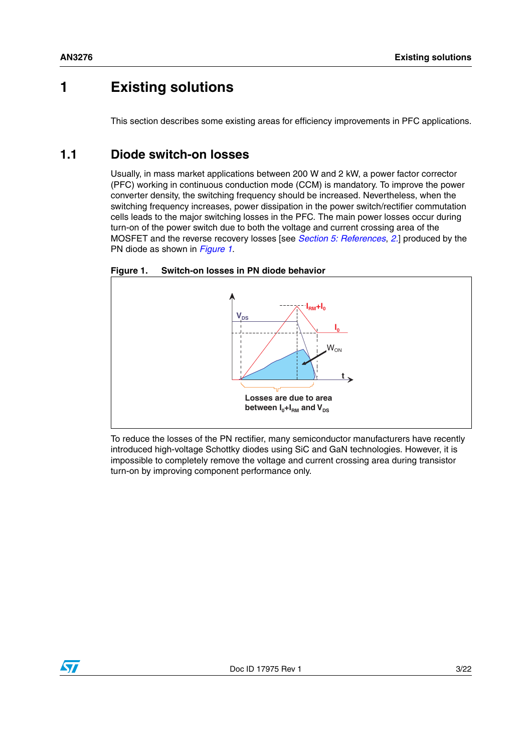## **1 Existing solutions**

This section describes some existing areas for efficiency improvements in PFC applications.

#### <span id="page-2-0"></span>**1.1 Diode switch-on losses**

Usually, in mass market applications between 200 W and 2 kW, a power factor corrector (PFC) working in continuous conduction mode (CCM) is mandatory. To improve the power converter density, the switching frequency should be increased. Nevertheless, when the switching frequency increases, power dissipation in the power switch/rectifier commutation cells leads to the major switching losses in the PFC. The main power losses occur during turn-on of the power switch due to both the voltage and current crossing area of the MOSFET and the reverse recovery losses [see *[Section 5: References](#page-19-1)*, *[2.](#page-19-2)*] produced by the PN diode as shown in *[Figure 1](#page-2-1)*.

<span id="page-2-1"></span>



To reduce the losses of the PN rectifier, many semiconductor manufacturers have recently introduced high-voltage Schottky diodes using SiC and GaN technologies. However, it is impossible to completely remove the voltage and current crossing area during transistor turn-on by improving component performance only.

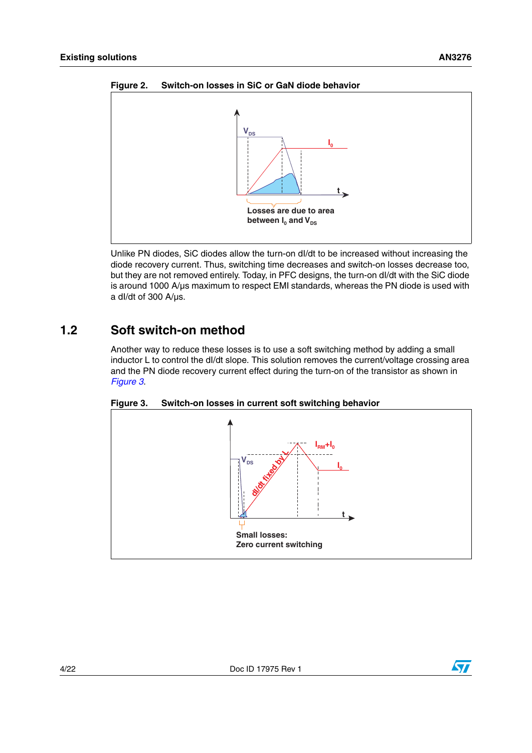



Unlike PN diodes, SiC diodes allow the turn-on dI/dt to be increased without increasing the diode recovery current. Thus, switching time decreases and switch-on losses decrease too, but they are not removed entirely. Today, in PFC designs, the turn-on dI/dt with the SiC diode is around 1000 A/µs maximum to respect EMI standards, whereas the PN diode is used with a dI/dt of 300 A/µs.

#### <span id="page-3-0"></span>**1.2 Soft switch-on method**

Another way to reduce these losses is to use a soft switching method by adding a small inductor L to control the dI/dt slope. This solution removes the current/voltage crossing area and the PN diode recovery current effect during the turn-on of the transistor as shown in *[Figure 3](#page-3-1)*.



<span id="page-3-1"></span>**Figure 3. Switch-on losses in current soft switching behavior**



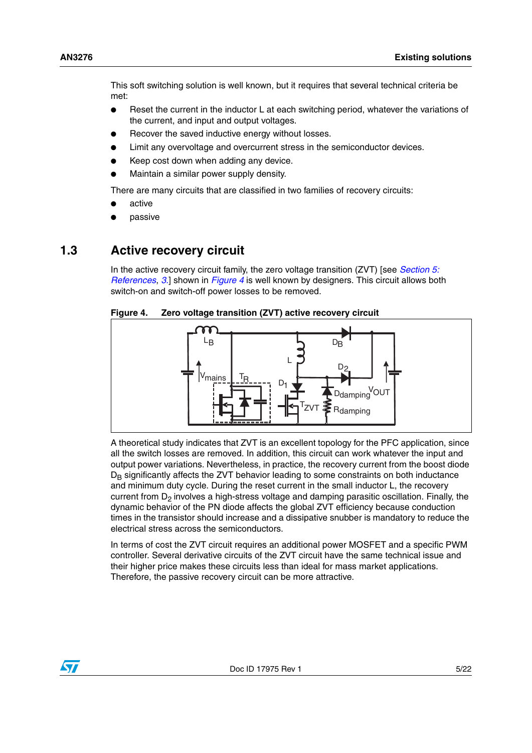This soft switching solution is well known, but it requires that several technical criteria be met:

- Reset the current in the inductor L at each switching period, whatever the variations of the current, and input and output voltages.
- Recover the saved inductive energy without losses.
- Limit any overvoltage and overcurrent stress in the semiconductor devices.
- Keep cost down when adding any device.
- Maintain a similar power supply density.

There are many circuits that are classified in two families of recovery circuits:

- active
- passive

#### <span id="page-4-0"></span>**1.3 Active recovery circuit**

In the active recovery circuit family, the zero voltage transition (ZVT) [see *[Section 5:](#page-19-1)  [References](#page-19-1)*, *[3.](#page-19-3)*] shown in *[Figure 4](#page-4-1)* is well known by designers. This circuit allows both switch-on and switch-off power losses to be removed.

#### <span id="page-4-1"></span>**Figure 4. Zero voltage transition (ZVT) active recovery circuit**



A theoretical study indicates that ZVT is an excellent topology for the PFC application, since all the switch losses are removed. In addition, this circuit can work whatever the input and output power variations. Nevertheless, in practice, the recovery current from the boost diode  $D<sub>B</sub>$  significantly affects the ZVT behavior leading to some constraints on both inductance and minimum duty cycle. During the reset current in the small inductor L, the recovery current from  $D<sub>2</sub>$  involves a high-stress voltage and damping parasitic oscillation. Finally, the dynamic behavior of the PN diode affects the global ZVT efficiency because conduction times in the transistor should increase and a dissipative snubber is mandatory to reduce the electrical stress across the semiconductors.

In terms of cost the ZVT circuit requires an additional power MOSFET and a specific PWM controller. Several derivative circuits of the ZVT circuit have the same technical issue and their higher price makes these circuits less than ideal for mass market applications. Therefore, the passive recovery circuit can be more attractive.

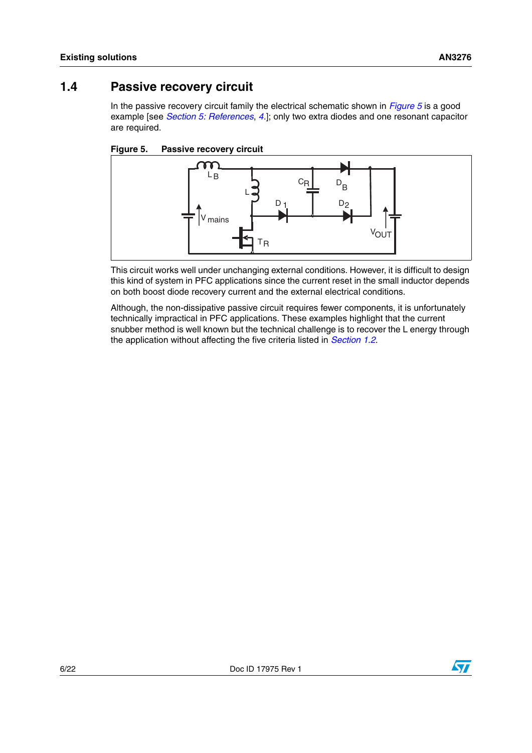### <span id="page-5-0"></span>**1.4 Passive recovery circuit**

In the passive recovery circuit family the electrical schematic shown in *[Figure 5](#page-5-1)* is a good example [see *[Section 5: References](#page-19-1)*, *[4.](#page-19-4)*]; only two extra diodes and one resonant capacitor are required.

<span id="page-5-1"></span>



This circuit works well under unchanging external conditions. However, it is difficult to design this kind of system in PFC applications since the current reset in the small inductor depends on both boost diode recovery current and the external electrical conditions.

Although, the non-dissipative passive circuit requires fewer components, it is unfortunately technically impractical in PFC applications. These examples highlight that the current snubber method is well known but the technical challenge is to recover the L energy through the application without affecting the five criteria listed in *[Section 1.2](#page-3-0)*.

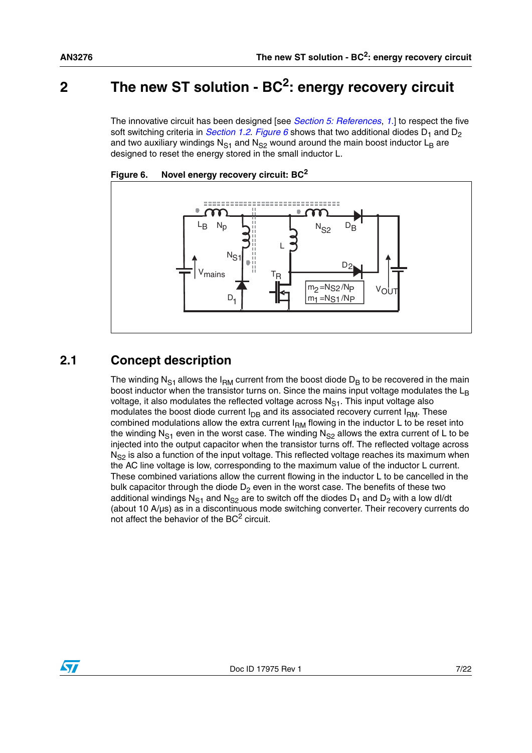## <span id="page-6-0"></span>**2 The new ST solution - BC2: energy recovery circuit**

The innovative circuit has been designed [see *[Section 5: References](#page-19-1)*, *[1.](#page-19-0)*] to respect the five soft switching criteria in *[Section 1.2](#page-3-0). [Figure 6](#page-6-2)* shows that two additional diodes  $D_1$  and  $D_2$ and two auxiliary windings  $N_{S1}$  and  $N_{S2}$  wound around the main boost inductor  $L_B$  are designed to reset the energy stored in the small inductor L.



<span id="page-6-2"></span>

## <span id="page-6-1"></span>**2.1 Concept description**

The winding N<sub>S1</sub> allows the I<sub>RM</sub> current from the boost diode D<sub>B</sub> to be recovered in the main boost inductor when the transistor turns on. Since the mains input voltage modulates the  $L<sub>B</sub>$ voltage, it also modulates the reflected voltage across  $N_{S1}$ . This input voltage also modulates the boost diode current  $I_{DB}$  and its associated recovery current  $I_{BM}$ . These combined modulations allow the extra current  $I<sub>BM</sub>$  flowing in the inductor L to be reset into the winding N<sub>S1</sub> even in the worst case. The winding N<sub>S2</sub> allows the extra current of L to be injected into the output capacitor when the transistor turns off. The reflected voltage across  $N_{\rm S2}$  is also a function of the input voltage. This reflected voltage reaches its maximum when the AC line voltage is low, corresponding to the maximum value of the inductor L current. These combined variations allow the current flowing in the inductor L to be cancelled in the bulk capacitor through the diode  $D_2$  even in the worst case. The benefits of these two additional windings N<sub>S1</sub> and N<sub>S2</sub> are to switch off the diodes D<sub>1</sub> and D<sub>2</sub> with a low dl/dt (about 10 A/µs) as in a discontinuous mode switching converter. Their recovery currents do not affect the behavior of the  $BC<sup>2</sup>$  circuit.

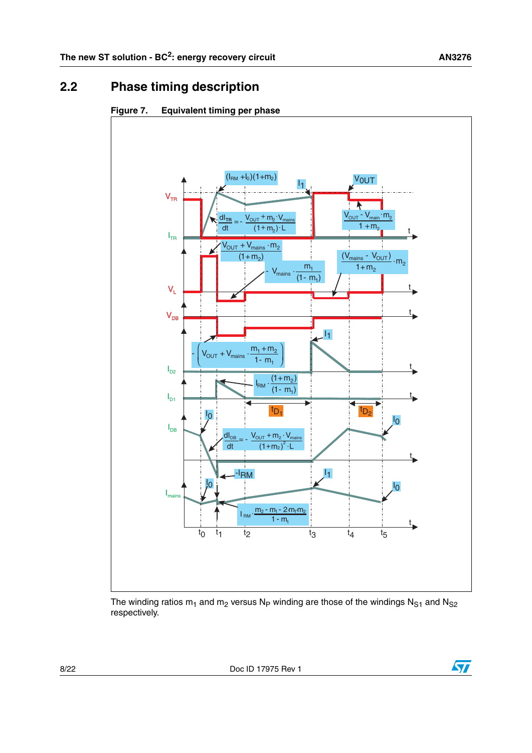## <span id="page-7-0"></span>**2.2 Phase timing description**

#### <span id="page-7-1"></span>**Figure 7. Equivalent timing per phase**



The winding ratios  $m_1$  and  $m_2$  versus N<sub>P</sub> winding are those of the windings N<sub>S1</sub> and N<sub>S2</sub> respectively.

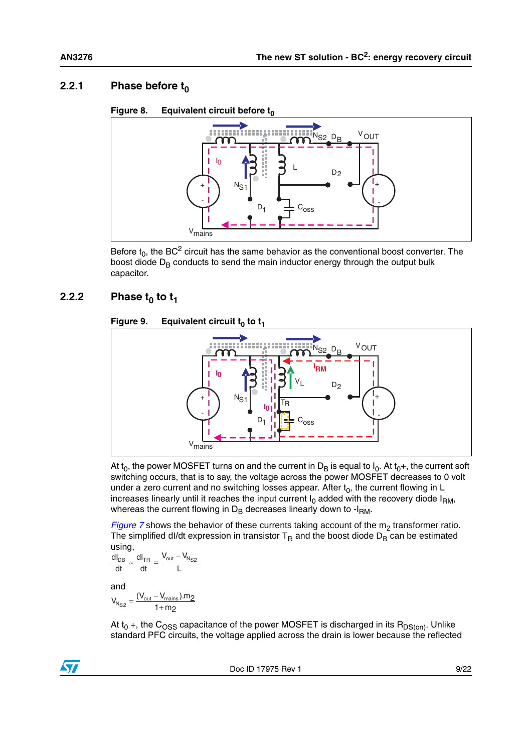#### <span id="page-8-0"></span>**2.2.1** Phase before  $t_0$

#### Figure 8. Equivalent circuit before t<sub>0</sub>



Before  $t_0$ , the BC<sup>2</sup> circuit has the same behavior as the conventional boost converter. The boost diode  $D_B$  conducts to send the main inductor energy through the output bulk capacitor.

#### <span id="page-8-1"></span>**2.2.2** Phase  $t_0$  to  $t_1$

#### **Figure 9.** Equivalent circuit  $t_0$  to  $t_1$

![](_page_8_Figure_8.jpeg)

At  $t_0$ , the power MOSFET turns on and the current in D<sub>B</sub> is equal to  $I_0$ . At  $t_0+$ , the current soft switching occurs, that is to say, the voltage across the power MOSFET decreases to 0 volt under a zero current and no switching losses appear. After  $t_0$ , the current flowing in L increases linearly until it reaches the input current  $I_0$  added with the recovery diode  $I_{RM}$ , whereas the current flowing in  $D_B$  decreases linearly down to - $I_{BM}$ .

*[Figure 7](#page-7-1)* shows the behavior of these currents taking account of the  $m<sub>2</sub>$  transformer ratio. The simplified dl/dt expression in transistor  $T_R$  and the boost diode  $D_B$  can be estimated using,

and L  $V_{\rm out} - V_{\rm i}$ dt dI  $\frac{dI_{DB}}{dt} \approx \frac{dI_{TR}}{dt} = \frac{V_{out} - V_{N_{S2}}}{L}$ 

 $V_{N_{S2}} = \frac{(V_{\text{out}} - V_{\text{mains}}).m_2}{1 + m_2}$ 

At  $t_0$  +, the C<sub>OSS</sub> capacitance of the power MOSFET is discharged in its R<sub>DS(on)</sub>. Unlike standard PFC circuits, the voltage applied across the drain is lower because the reflected

![](_page_8_Picture_14.jpeg)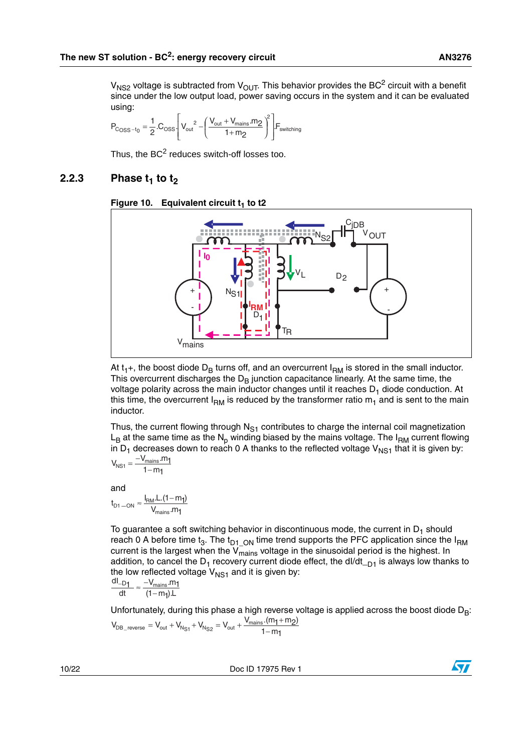$V_{NS2}$  voltage is subtracted from  $V_{OUT}$ . This behavior provides the BC<sup>2</sup> circuit with a benefit since under the low output load, power saving occurs in the system and it can be evaluated using:

$$
P_{\text{C}_\text{OSS}-t_0} = \frac{1}{2} \cdot C_{\text{OSS}} \cdot \left[ V_{\text{out}}^2 - \left( \frac{V_{\text{out}} + V_{\text{main}} \cdot m_2}{1 + m_2} \right)^2 \right] \cdot F_{\text{switching}}
$$

Thus, the  $BC<sup>2</sup>$  reduces switch-off losses too.

#### <span id="page-9-0"></span>**2.2.3** Phase  $t_1$  to  $t_2$

![](_page_9_Figure_6.jpeg)

![](_page_9_Figure_7.jpeg)

At  $t_1$ +, the boost diode  $D_B$  turns off, and an overcurrent  $I_{BM}$  is stored in the small inductor. This overcurrent discharges the  $D<sub>B</sub>$  junction capacitance linearly. At the same time, the voltage polarity across the main inductor changes until it reaches  $D_1$  diode conduction. At this time, the overcurrent  $I_{RM}$  is reduced by the transformer ratio  $m_1$  and is sent to the main inductor.

Thus, the current flowing through  $N_{S1}$  contributes to charge the internal coil magnetization  $L_{\rm B}$  at the same time as the N<sub>p</sub> winding biased by the mains voltage. The I<sub>RM</sub> current flowing in  $D_1$  decreases down to reach 0 A thanks to the reflected voltage  $V_{NS1}$  that it is given by:

$$
V_{NS1} = \frac{-V_{\text{mains}}.m_1}{1 - m_1}
$$

and

$$
t_{D1-ON} \approx \frac{I_{RM}.L.(1-m_1)}{V_{mains}.m_1}
$$

To guarantee a soft switching behavior in discontinuous mode, the current in  $D_1$  should reach 0 A before time t<sub>3</sub>. The t<sub>D1</sub> <sub>ON</sub> time trend supports the PFC application since the I<sub>RM</sub> current is the largest when the  $V_{\text{main}}$  voltage in the sinusoidal period is the highest. In addition, to cancel the  $D_1$  recovery current diode effect, the dl/dt<sub> $-D1$ </sub> is always low thanks to the low reflected voltage  $V_{NS1}$  and it is given by:<br> $\frac{dl_{D1}}{dt_{D1}} \approx \frac{-V_{\text{main}}}{2}$ 

$$
\frac{dl_{-D1}}{dt} \approx \frac{-V_{\text{mains}}.m_1}{(1-m_1).L}
$$

Unfortunately, during this phase a high reverse voltage is applied across the boost diode  $D_B$ :  $V_{DB\_reverse} = V_{out} + V_{N_{S1}} + V_{N_{S2}} = V_{out} + \frac{V_{mains}.(m_1 + m_2)}{1 - m_1}$ 

10/22 Doc ID 17975 Rev 1

![](_page_9_Picture_17.jpeg)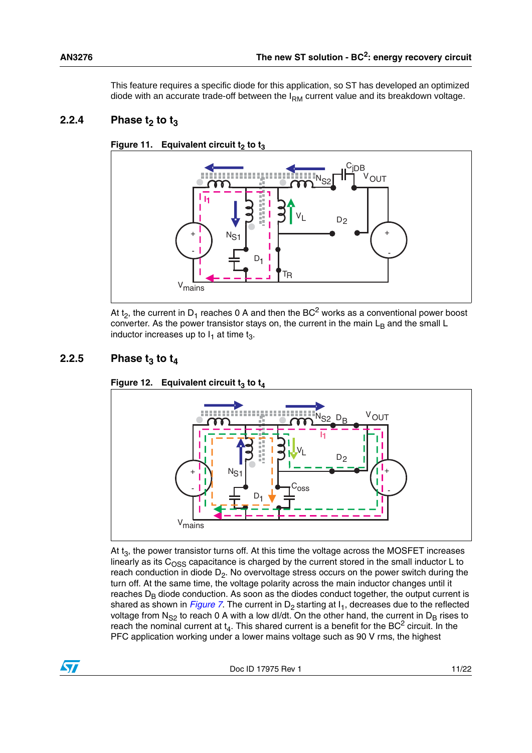This feature requires a specific diode for this application, so ST has developed an optimized diode with an accurate trade-off between the  $I_{RM}$  current value and its breakdown voltage.

#### <span id="page-10-0"></span>**2.2.4** Phase  $t_2$  to  $t_3$

![](_page_10_Figure_3.jpeg)

![](_page_10_Figure_4.jpeg)

At t<sub>2</sub>, the current in D<sub>1</sub> reaches 0 A and then the BC<sup>2</sup> works as a conventional power boost converter. As the power transistor stays on, the current in the main  $L_B$  and the small  $L$ inductor increases up to  $I_1$  at time  $t_3$ .

#### <span id="page-10-1"></span>**2.2.5** Phase  $t_3$  to  $t_4$

![](_page_10_Figure_7.jpeg)

**Figure 12. Equivalent circuit**  $t_3$  **to**  $t_4$ 

At  $t<sub>3</sub>$ , the power transistor turns off. At this time the voltage across the MOSFET increases linearly as its  $C<sub>OSS</sub>$  capacitance is charged by the current stored in the small inductor L to reach conduction in diode  $D_2$ . No overvoltage stress occurs on the power switch during the turn off. At the same time, the voltage polarity across the main inductor changes until it reaches  $D<sub>B</sub>$  diode conduction. As soon as the diodes conduct together, the output current is shared as shown in *[Figure 7](#page-7-1)*. The current in  $D_2$  starting at  $I_1$ , decreases due to the reflected voltage from  $N_{S2}$  to reach 0 A with a low dl/dt. On the other hand, the current in  $D_B$  rises to reach the nominal current at  $t_4$ . This shared current is a benefit for the BC<sup>2</sup> circuit. In the PFC application working under a lower mains voltage such as 90 V rms, the highest

![](_page_10_Picture_13.jpeg)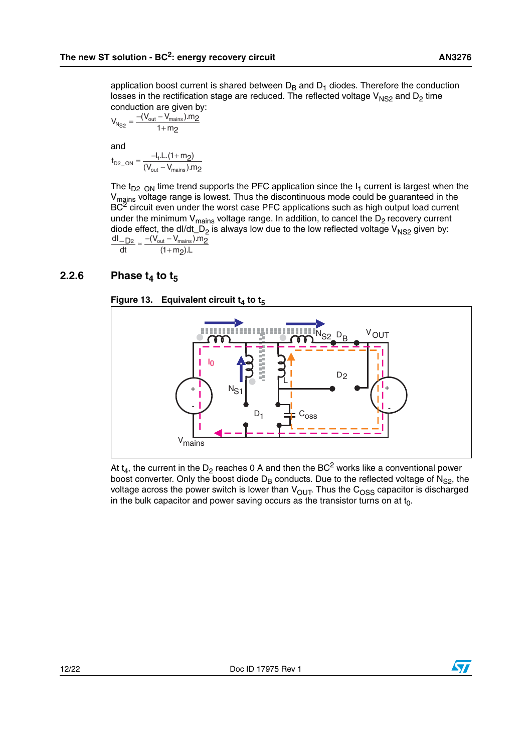application boost current is shared between  $D_B$  and  $D_1$  diodes. Therefore the conduction losses in the rectification stage are reduced. The reflected voltage  $V_{NS2}$  and  $D_2$  time conduction are given by:

$$
V_{N_{S2}} = \frac{-(V_{out} - V_{main}) . m_2}{1 + m_2}
$$

and

$$
t_{D2\_ON} = \frac{-I_1.L.(1+m_2)}{(V_{out} - V_{mains}).m_2}
$$

The  $t_{D2}$  <sub>ON</sub> time trend supports the PFC application since the  $I_1$  current is largest when the V<sub>mains</sub> voltage range is lowest. Thus the discontinuous mode could be guaranteed in the  $BC<sup>2</sup>$  circuit even under the worst case PFC applications such as high output load current under the minimum  $V_{\text{mains}}$  voltage range. In addition, to cancel the  $D_2$  recovery current diode effect, the dI/dt\_D<sub>2</sub> is always low due to the low reflected voltage V<sub>NS2</sub> given by:  $(1 + m_2)$ .L  $\frac{N_{\rm out} - N_{\rm mains} - N_{\rm 2}}{N_{\rm 2}}$ dt  $\frac{\mathsf{dI}}{\mathsf{D2}}_{\approx} \frac{-(\mathsf{V}_{\mathsf{out}} - \mathsf{V}_{\mathsf{main}})}{=}$  $\approx \frac{-(V_{\text{out}} - (1 +$ 

#### <span id="page-11-0"></span>**2.2.6** Phase  $t_4$  to  $t_5$

![](_page_11_Figure_8.jpeg)

![](_page_11_Figure_9.jpeg)

At  $t_4$ , the current in the D<sub>2</sub> reaches 0 A and then the BC<sup>2</sup> works like a conventional power boost converter. Only the boost diode  $D_B$  conducts. Due to the reflected voltage of  $N_{S2}$ , the voltage across the power switch is lower than  $V_{OUT}$ . Thus the  $C_{OSS}$  capacitor is discharged in the bulk capacitor and power saving occurs as the transistor turns on at  $t_0$ .

![](_page_11_Picture_11.jpeg)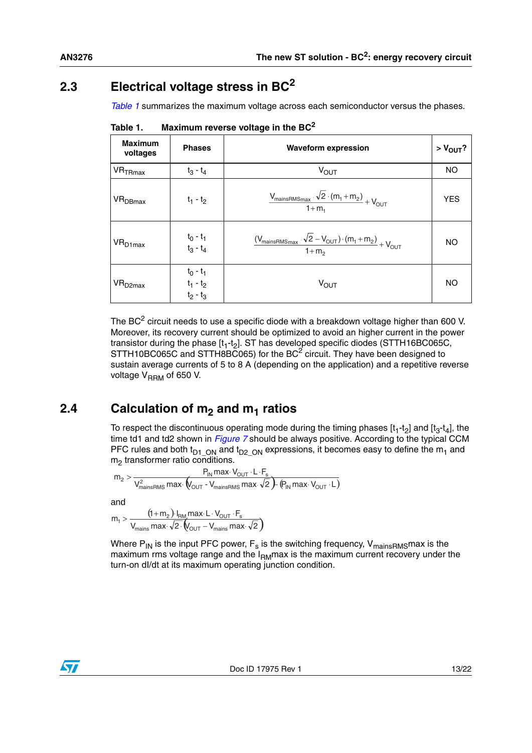## <span id="page-12-0"></span>**2.3 Electrical voltage stress in BC<sup>2</sup>**

*[Table 1](#page-12-2)* summarizes the maximum voltage across each semiconductor versus the phases.

| <b>Maximum</b><br>voltages     | <b>Phases</b>                             | <b>Waveform expression</b>                                                                                                             | $> V_{OUT}$ ? |
|--------------------------------|-------------------------------------------|----------------------------------------------------------------------------------------------------------------------------------------|---------------|
| $\mathsf{VR}_{\mathsf{TRmax}}$ | $t_3 - t_4$                               | $V_{\text{OUT}}$                                                                                                                       | <b>NO</b>     |
| VR <sub>DBmax</sub>            | $t_1 - t_2$                               | $\frac{V_{\text{mainS RMS}_{\text{max}}}\cdot\sqrt{2}\cdot(m_1+m_2)}{1+m_1}+V_{\text{OUT}}$                                            | <b>YES</b>    |
| $VR_{D1max}$                   | $t_0 - t_1$<br>$t_3 - t_4$                | $\frac{(\mathsf{V}_{\text{mainsRMS}_{\text{max}}}\cdot\sqrt{2}-\mathsf{V}_{\text{OUT}})\cdot(m_1+m_2)}{1+m_2}+\mathsf{V}_{\text{OUT}}$ | <b>NO</b>     |
| VR <sub>D2max</sub>            | $t_0 - t_1$<br>$t_1 - t_2$<br>$t_2 - t_3$ | $V_{\text{OUT}}$                                                                                                                       | NO            |

<span id="page-12-2"></span>Table 1. Maximum reverse voltage in the BC<sup>2</sup>

The BC<sup>2</sup> circuit needs to use a specific diode with a breakdown voltage higher than 600 V. Moreover, its recovery current should be optimized to avoid an higher current in the power transistor during the phase  $[t_1-t_2]$ . ST has developed specific diodes (STTH16BC065C, STTH10BC065C and STTH8BC065) for the BC<sup>2</sup> circuit. They have been designed to sustain average currents of 5 to 8 A (depending on the application) and a repetitive reverse voltage  $V_{\text{RRM}}$  of 650 V.

## <span id="page-12-1"></span>**2.4** Calculation of m<sub>2</sub> and m<sub>1</sub> ratios

To respect the discontinuous operating mode during the timing phases  $[t_1-t_2]$  and  $[t_3-t_4]$ , the time td1 and td2 shown in *[Figure 7](#page-7-1)* should be always positive. According to the typical CCM PFC rules and both t<sub>D1</sub> <sub>ON</sub> and t<sub>D2</sub> <sub>ON</sub> expressions, it becomes easy to define the m<sub>1</sub> and  $m<sub>2</sub>$  transformer ratio conditions.

$$
m_2 > \frac{P_{IN}\max\cdot V_{OUT}\cdot L\cdot F_s}{V_{mainsRMS}^2\max\cdot\left(V_{OUT}\cdot V_{mainsRMS}\max\cdot\sqrt{2}\right)\cdot\left(P_{IN}\max\cdot V_{OUT}\cdot L\right)}
$$

and

$$
m_1 > \frac{\left(1+m_2\right) \cdot I_{\text{RM}} \text{max} \cdot L \cdot V_{\text{OUT}} \cdot F_s}{V_{\text{mains}} \text{max} \cdot \sqrt{2} \cdot \left(V_{\text{OUT}} - V_{\text{mains}} \text{max} \cdot \sqrt{2}\right)}
$$

Where  $P_{IN}$  is the input PFC power,  $F_s$  is the switching frequency,  $V_{mainsRMS}$  max is the maximum rms voltage range and the  $I_{\text{BM}}$  max is the maximum current recovery under the turn-on dI/dt at its maximum operating junction condition.

![](_page_12_Picture_13.jpeg)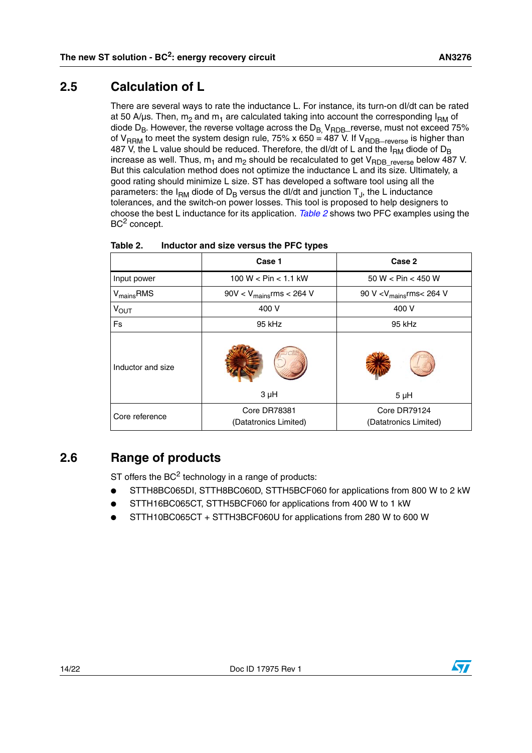### <span id="page-13-0"></span>**2.5 Calculation of L**

There are several ways to rate the inductance L. For instance, its turn-on dI/dt can be rated at 50 A/µs. Then,  $m_2$  and  $m_1$  are calculated taking into account the corresponding  $I_{\rm RM}$  of diode  $D_B$ . However, the reverse voltage across the  $D_B$ ,  $V_{RDB}$  reverse, must not exceed 75% of V<sub>RRM</sub> to meet the system design rule, 75% x 650 = 487 V. If V<sub>RDB</sub><sub>-reverse</sub> is higher than 487 V, the L value should be reduced. Therefore, the dl/dt of L and the  $I_{RM}$  diode of  $D_B$ increase as well. Thus,  $m_1$  and  $m_2$  should be recalculated to get V<sub>RDB</sub> reverse below 487 V. But this calculation method does not optimize the inductance L and its size. Ultimately, a good rating should minimize L size. ST has developed a software tool using all the parameters: the  $I_{RM}$  diode of  $D_B$  versus the dl/dt and junction  $T_A$ , the L inductance tolerances, and the switch-on power losses. This tool is proposed to help designers to choose the best L inductance for its application. *[Table 2](#page-13-2)* shows two PFC examples using the BC<sup>2</sup> concept.

|                       | Case 1                                | Case 2                                |
|-----------------------|---------------------------------------|---------------------------------------|
| Input power           | 100 W < $Pin < 1.1$ kW                | 50 W < Pin < 450 W                    |
| $V_{\text{main}}$ RMS | 90V < $V_{\text{main}}$ rms < 264 V   | 90 V < $V_{\text{main}}$ rms< 264 V   |
| <b>VOUT</b>           | 400 V                                 | 400 V                                 |
| Fs                    | 95 kHz                                | 95 kHz                                |
| Inductor and size     | $3 \mu H$                             | $5 \mu H$                             |
| Core reference        | Core DR78381<br>(Datatronics Limited) | Core DR79124<br>(Datatronics Limited) |

#### <span id="page-13-2"></span>Table 2. Inductor and size versus the PFC types

## <span id="page-13-1"></span>**2.6 Range of products**

ST offers the  $BC^2$  technology in a range of products:

- STTH8BC065DI, STTH8BC060D, STTH5BCF060 for applications from 800 W to 2 kW
- STTH16BC065CT, STTH5BCF060 for applications from 400 W to 1 kW
- STTH10BC065CT + STTH3BCF060U for applications from 280 W to 600 W

![](_page_13_Picture_12.jpeg)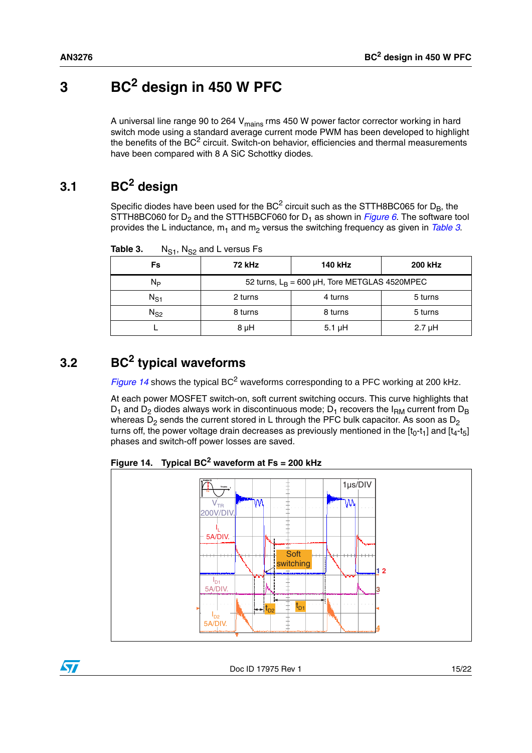# <span id="page-14-0"></span>**3 BC2 design in 450 W PFC**

A universal line range 90 to 264  $V_{\text{mains}}$  rms 450 W power factor corrector working in hard switch mode using a standard average current mode PWM has been developed to highlight the benefits of the  $BC^2$  circuit. Switch-on behavior, efficiencies and thermal measurements have been compared with 8 A SiC Schottky diodes.

## <span id="page-14-1"></span>**3.1 BC2 design**

Specific diodes have been used for the  $BC^2$  circuit such as the STTH8BC065 for  $D_B$ , the STTH8BC060 for  $D_2$  and the STTH5BCF060 for  $D_1$  as shown in *[Figure 6](#page-6-2)*. The software tool provides the L inductance,  $m_1$  and  $m_2$  versus the switching frequency as given in *[Table 3](#page-14-3)*.

| Fs       | <b>72 kHz</b> | 140 kHz                                             | <b>200 kHz</b> |
|----------|---------------|-----------------------------------------------------|----------------|
| Nь       |               | 52 turns, $L_B = 600 \mu H$ , Tore METGLAS 4520MPEC |                |
| $N_{S1}$ | 2 turns       | 4 turns                                             | 5 turns        |
| $N_{S2}$ | 8 turns       | 8 turns                                             | 5 turns        |
|          | 8 µH          | $5.1 \mu H$                                         | $2.7 \mu H$    |

<span id="page-14-3"></span>Table 3. N<sub>S1</sub>, N<sub>S2</sub> and L versus Fs

## <span id="page-14-2"></span>**3.2 BC2 typical waveforms**

*[Figure 14](#page-14-4)* shows the typical BC<sup>2</sup> waveforms corresponding to a PFC working at 200 kHz.

At each power MOSFET switch-on, soft current switching occurs. This curve highlights that  $D_1$  and  $D_2$  diodes always work in discontinuous mode;  $D_1$  recovers the I<sub>RM</sub> current from  $D_B$ whereas  $D_2$  sends the current stored in L through the PFC bulk capacitor. As soon as  $D_2$ turns off, the power voltage drain decreases as previously mentioned in the  $[t_0-t_1]$  and  $[t_4-t_5]$ phases and switch-off power losses are saved.

<span id="page-14-4"></span>**Figure 14. Typical BC2 waveform at Fs = 200 kHz**

![](_page_14_Figure_12.jpeg)

![](_page_14_Picture_15.jpeg)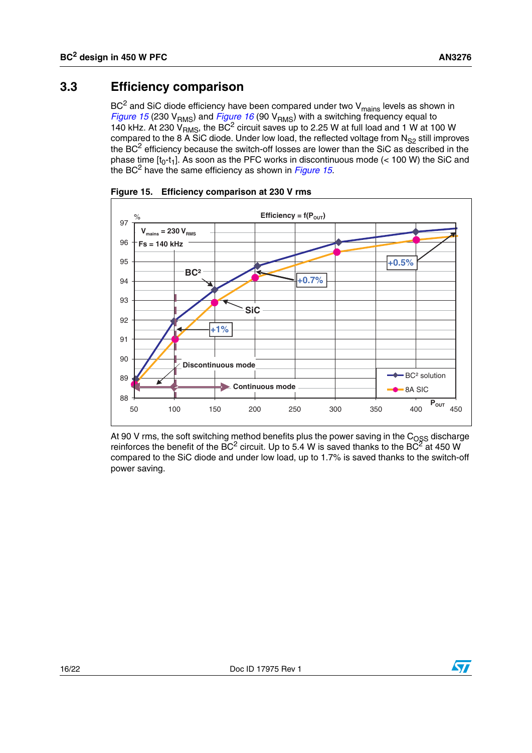### <span id="page-15-0"></span>**3.3 Efficiency comparison**

 $BC<sup>2</sup>$  and SiC diode efficiency have been compared under two V<sub>mains</sub> levels as shown in *[Figure 15](#page-15-1)* (230 V<sub>RMS</sub>) and *[Figure 16](#page-16-0)* (90 V<sub>RMS</sub>) with a switching frequency equal to 140 kHz. At 230  $V_{RMS}$ , the BC<sup>2</sup> circuit saves up to 2.25 W at full load and 1 W at 100 W compared to the 8 A SiC diode. Under low load, the reflected voltage from  $N_{S2}$  still improves the BC<sup>2</sup> efficiency because the switch-off losses are lower than the SiC as described in the phase time  $[t_0-t_1]$ . As soon as the PFC works in discontinuous mode (< 100 W) the SiC and the BC2 have the same efficiency as shown in *[Figure 15](#page-15-1)*.

![](_page_15_Figure_4.jpeg)

<span id="page-15-1"></span>**Figure 15. Efficiency comparison at 230 V rms**

At 90 V rms, the soft switching method benefits plus the power saving in the  $\mathrm{C_{OSS}}$  discharge reinforces the benefit of the BC<sup>2</sup> circuit. Up to 5.4 W is saved thanks to the BC<sup>2</sup> at 450 W compared to the SiC diode and under low load, up to 1.7% is saved thanks to the switch-off power saving.

![](_page_15_Picture_7.jpeg)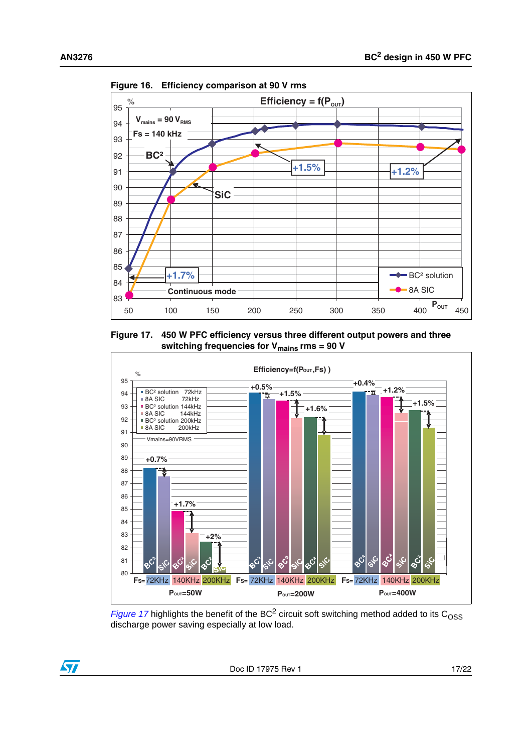![](_page_16_Figure_2.jpeg)

<span id="page-16-0"></span>**Figure 16. Efficiency comparison at 90 V rms**

<span id="page-16-1"></span>**Figure 17. 450 W PFC efficiency versus three different output powers and three**  switching frequencies for V<sub>mains</sub> rms = 90 V

![](_page_16_Figure_5.jpeg)

*[Figure 17](#page-16-1)* highlights the benefit of the BC<sup>2</sup> circuit soft switching method added to its C<sub>OSS</sub> discharge power saving especially at low load.

![](_page_16_Picture_7.jpeg)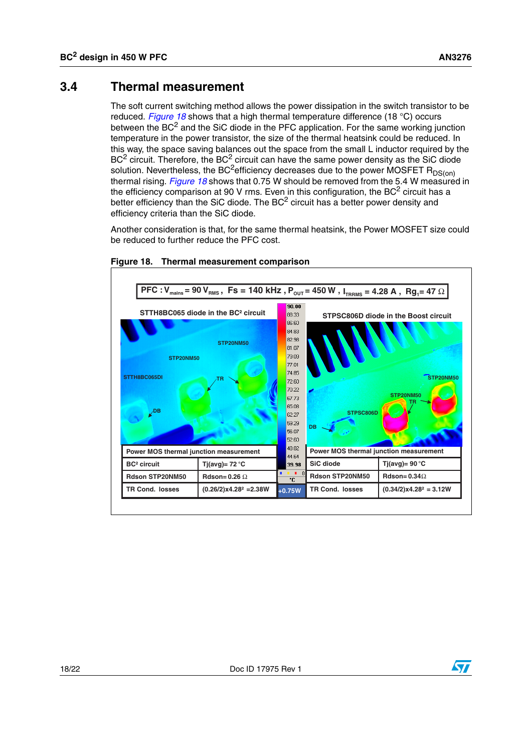#### <span id="page-17-0"></span>**3.4 Thermal measurement**

The soft current switching method allows the power dissipation in the switch transistor to be reduced. *[Figure 18](#page-17-1)* shows that a high thermal temperature difference (18 °C) occurs between the  $BC<sup>2</sup>$  and the SiC diode in the PFC application. For the same working junction temperature in the power transistor, the size of the thermal heatsink could be reduced. In this way, the space saving balances out the space from the small L inductor required by the  $BC<sup>2</sup>$  circuit. Therefore, the  $BC<sup>2</sup>$  circuit can have the same power density as the SiC diode solution. Nevertheless, the BC<sup>2</sup>efficiency decreases due to the power MOSFET R<sub>DS(on)</sub> thermal rising. *[Figure 18](#page-17-1)* shows that 0.75 W should be removed from the 5.4 W measured in the efficiency comparison at 90 V rms. Even in this configuration, the  $BC<sup>2</sup>$  circuit has a better efficiency than the SiC diode. The  $BC^2$  circuit has a better power density and efficiency criteria than the SiC diode.

Another consideration is that, for the same thermal heatsink, the Power MOSFET size could be reduced to further reduce the PFC cost.

![](_page_17_Figure_5.jpeg)

#### <span id="page-17-1"></span>**Figure 18. Thermal measurement comparison**

![](_page_17_Picture_7.jpeg)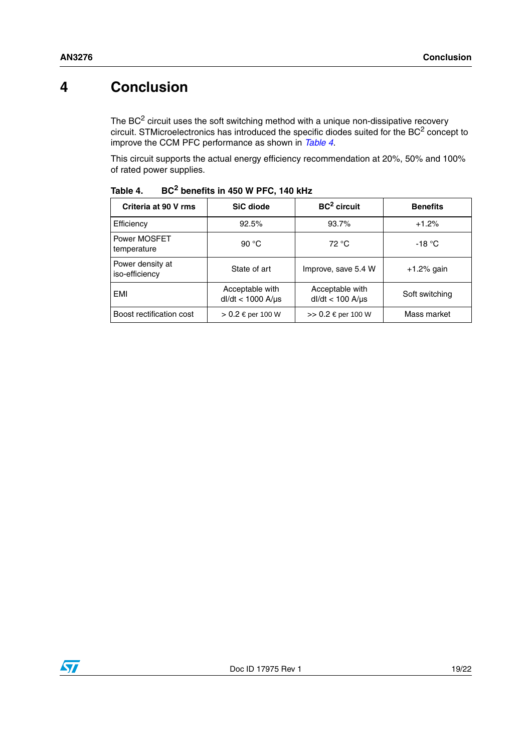## <span id="page-18-0"></span>**4 Conclusion**

The  $BC<sup>2</sup>$  circuit uses the soft switching method with a unique non-dissipative recovery circuit. STMicroelectronics has introduced the specific diodes suited for the BC<sup>2</sup> concept to improve the CCM PFC performance as shown in *[Table 4](#page-18-1)*.

This circuit supports the actual energy efficiency recommendation at 20%, 50% and 100% of rated power supplies.

| Criteria at 90 V rms               | SiC diode                                    | $BC2$ circuit                               | <b>Benefits</b>  |
|------------------------------------|----------------------------------------------|---------------------------------------------|------------------|
| Efficiency                         | 92.5%                                        | 93.7%                                       | $+1.2%$          |
| Power MOSFET<br>temperature        | 90 $^{\circ}$ C                              | 72 °C                                       | -18 $^{\circ}$ C |
| Power density at<br>iso-efficiency | State of art                                 | Improve, save 5.4 W                         | $+1.2%$ gain     |
| <b>EMI</b>                         | Acceptable with<br>$dl/dt < 1000$ A/ $\mu s$ | Acceptable with<br>$dl/dt < 100$ A/ $\mu s$ | Soft switching   |
| Boost rectification cost           | > 0.2 € per 100 W                            | >> $0.2 \epsilon$ per 100 W                 | Mass market      |

<span id="page-18-1"></span>Table 4. **Table 4. BC2 benefits in 450 W PFC, 140 kHz**

![](_page_18_Picture_7.jpeg)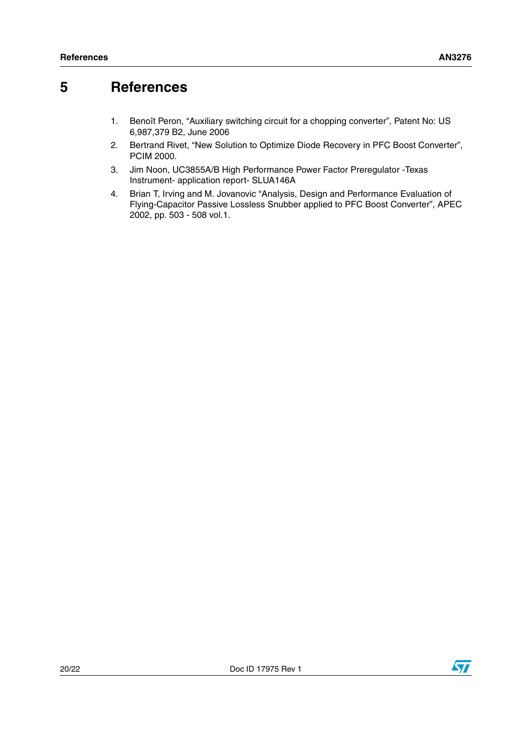## <span id="page-19-1"></span>**5 References**

- <span id="page-19-0"></span>1. Benoît Peron, "Auxiliary switching circuit for a chopping converter", Patent No: US 6,987,379 B2, June 2006
- <span id="page-19-2"></span>2. Bertrand Rivet, "New Solution to Optimize Diode Recovery in PFC Boost Converter", PCIM 2000.
- <span id="page-19-3"></span>3. Jim Noon, UC3855A/B High Performance Power Factor Preregulator -Texas Instrument- application report- SLUA146A
- <span id="page-19-4"></span>4. Brian T, Irving and M. Jovanovic "Analysis, Design and Performance Evaluation of Flying-Capacitor Passive Lossless Snubber applied to PFC Boost Converter", APEC 2002, pp. 503 - 508 vol.1.

![](_page_19_Picture_9.jpeg)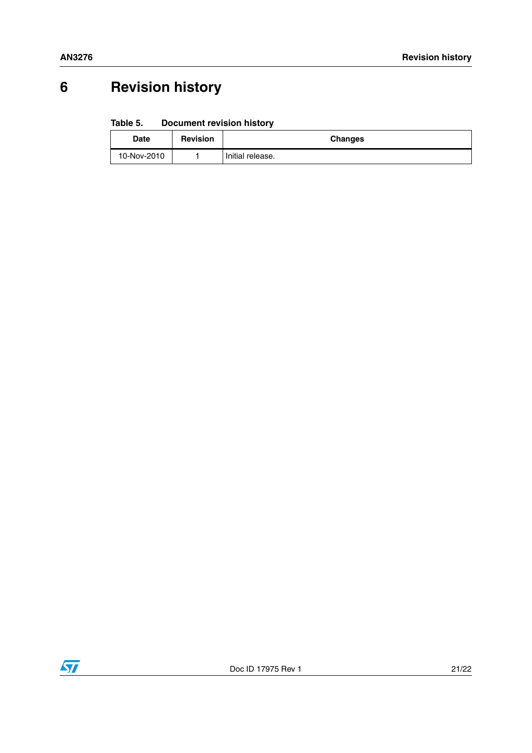# <span id="page-20-0"></span>**6 Revision history**

#### Table 5. **Document revision history**

| <b>Date</b> | <b>Revision</b> | <b>Changes</b>   |
|-------------|-----------------|------------------|
| 10-Nov-2010 |                 | Initial release. |

![](_page_20_Picture_5.jpeg)